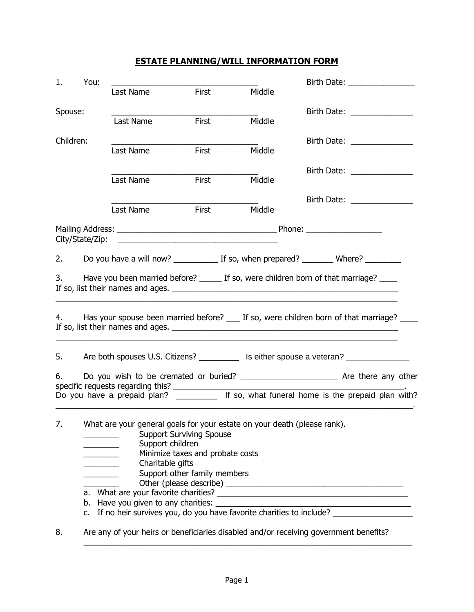## **ESTATE PLANNING/WILL INFORMATION FORM**

| 1.        | You:                                                                                                                                                                                                                                                                                                                                                                                                                                                            |           |       |        | Birth Date: <u>______________</u>                                                                                                                                                                                             |  |
|-----------|-----------------------------------------------------------------------------------------------------------------------------------------------------------------------------------------------------------------------------------------------------------------------------------------------------------------------------------------------------------------------------------------------------------------------------------------------------------------|-----------|-------|--------|-------------------------------------------------------------------------------------------------------------------------------------------------------------------------------------------------------------------------------|--|
|           |                                                                                                                                                                                                                                                                                                                                                                                                                                                                 | Last Name | First | Middle |                                                                                                                                                                                                                               |  |
| Spouse:   |                                                                                                                                                                                                                                                                                                                                                                                                                                                                 |           |       |        | Birth Date: _______________                                                                                                                                                                                                   |  |
|           |                                                                                                                                                                                                                                                                                                                                                                                                                                                                 | Last Name | First | Middle |                                                                                                                                                                                                                               |  |
| Children: |                                                                                                                                                                                                                                                                                                                                                                                                                                                                 |           |       |        | Birth Date: <u>____________</u>                                                                                                                                                                                               |  |
|           |                                                                                                                                                                                                                                                                                                                                                                                                                                                                 | Last Name | First | Middle |                                                                                                                                                                                                                               |  |
|           |                                                                                                                                                                                                                                                                                                                                                                                                                                                                 |           |       |        | Birth Date: The Saint Science of the Saint Science of the Saint Science of the Saint Science of the Saint Science of the Saint Science of the Saint Science of the Saint Science of the Saint Science of the Saint Science of |  |
|           |                                                                                                                                                                                                                                                                                                                                                                                                                                                                 | Last Name | First | Middle |                                                                                                                                                                                                                               |  |
|           |                                                                                                                                                                                                                                                                                                                                                                                                                                                                 | Last Name | First | Middle | Birth Date: _______________                                                                                                                                                                                                   |  |
|           |                                                                                                                                                                                                                                                                                                                                                                                                                                                                 |           |       |        |                                                                                                                                                                                                                               |  |
|           |                                                                                                                                                                                                                                                                                                                                                                                                                                                                 |           |       |        |                                                                                                                                                                                                                               |  |
| 2.        |                                                                                                                                                                                                                                                                                                                                                                                                                                                                 |           |       |        |                                                                                                                                                                                                                               |  |
| 3.        |                                                                                                                                                                                                                                                                                                                                                                                                                                                                 |           |       |        | Have you been married before? _______ If so, were children born of that marriage? _____                                                                                                                                       |  |
|           |                                                                                                                                                                                                                                                                                                                                                                                                                                                                 |           |       |        |                                                                                                                                                                                                                               |  |
| 4.<br>5.  |                                                                                                                                                                                                                                                                                                                                                                                                                                                                 |           |       |        | Has your spouse been married before? ____ If so, were children born of that marriage? _____<br>Are both spouses U.S. Citizens? ___________ Is either spouse a veteran? _____________                                          |  |
|           |                                                                                                                                                                                                                                                                                                                                                                                                                                                                 |           |       |        |                                                                                                                                                                                                                               |  |
| 6.        |                                                                                                                                                                                                                                                                                                                                                                                                                                                                 |           |       |        |                                                                                                                                                                                                                               |  |
|           |                                                                                                                                                                                                                                                                                                                                                                                                                                                                 |           |       |        | specific requests regarding this? _______________ If so, what funeral home is the prepaid plan with?                                                                                                                          |  |
| 7.        | What are your general goals for your estate on your death (please rank).<br><b>Support Surviving Spouse</b><br>Support children<br>Minimize taxes and probate costs<br><u> 1990 - Jan Barnett, politik e</u><br>Charitable gifts<br><u> 1999 - John Barnett, p</u><br>Support other family members<br>$\overline{\phantom{a}}$ . The set of $\overline{\phantom{a}}$<br>c. If no heir survives you, do you have favorite charities to include? ________________ |           |       |        |                                                                                                                                                                                                                               |  |
| 8.        | Are any of your heirs or beneficiaries disabled and/or receiving government benefits?                                                                                                                                                                                                                                                                                                                                                                           |           |       |        |                                                                                                                                                                                                                               |  |

\_\_\_\_\_\_\_\_\_\_\_\_\_\_\_\_\_\_\_\_\_\_\_\_\_\_\_\_\_\_\_\_\_\_\_\_\_\_\_\_\_\_\_\_\_\_\_\_\_\_\_\_\_\_\_\_\_\_\_\_\_\_\_\_\_\_\_\_\_\_\_\_\_\_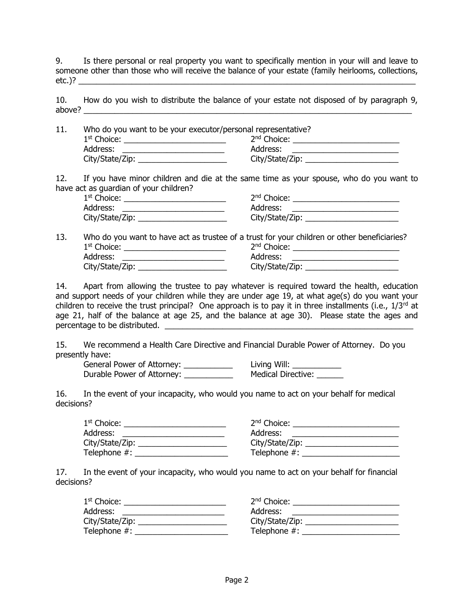9. Is there personal or real property you want to specifically mention in your will and leave to someone other than those who will receive the balance of your estate (family heirlooms, collections, etc.)? \_\_\_\_\_\_\_\_\_\_\_\_\_\_\_\_\_\_\_\_\_\_\_\_\_\_\_\_\_\_\_\_\_\_\_\_\_\_\_\_\_\_\_\_\_\_\_\_\_\_\_\_\_\_\_\_\_\_\_\_\_\_\_\_\_\_\_\_\_\_\_\_\_\_\_\_

10. How do you wish to distribute the balance of your estate not disposed of by paragraph 9, above? \_\_\_\_\_\_\_\_\_\_\_\_\_\_\_\_\_\_\_\_\_\_\_\_\_\_\_\_\_\_\_\_\_\_\_\_\_\_\_\_\_\_\_\_\_\_\_\_\_\_\_\_\_\_\_\_\_\_\_\_\_\_\_\_\_\_\_\_\_\_\_\_\_\_

| 11. | Who do you want to be your executor/personal representative? |                         |  |
|-----|--------------------------------------------------------------|-------------------------|--|
|     | $1st$ Choice:                                                | 2 <sup>nd</sup> Choice: |  |
|     | Address:                                                     | Address:                |  |
|     | City/State/Zip: ____                                         | City/State/Zip: ___     |  |

12. If you have minor children and die at the same time as your spouse, who do you want to have act as guardian of your children?

| 1 <sup>st</sup> Choice: | 2 <sup>nd</sup> Choice: |
|-------------------------|-------------------------|
| Address:                | Address:                |
| City/State/Zip:         | City/State/Zip:         |

13. Who do you want to have act as trustee of a trust for your children or other beneficiaries? 1 st Choice: \_\_\_\_\_\_\_\_\_\_\_\_\_\_\_\_\_\_\_\_\_\_\_ 2 nd Choice: \_\_\_\_\_\_\_\_\_\_\_\_\_\_\_\_\_\_\_\_\_\_\_\_ Address: \_\_\_\_\_\_\_\_\_\_\_\_\_\_\_\_\_\_\_\_\_\_\_ Address: \_\_\_\_\_\_\_\_\_\_\_\_\_\_\_\_\_\_\_\_\_\_\_\_ City/State/Zip: \_\_\_\_\_\_\_\_\_\_\_\_\_\_\_\_\_\_\_\_ City/State/Zip: \_\_\_\_\_\_\_\_\_\_\_\_\_\_\_\_\_\_\_\_\_

14. Apart from allowing the trustee to pay whatever is required toward the health, education and support needs of your children while they are under age 19, at what age(s) do you want your children to receive the trust principal? One approach is to pay it in three installments (i.e.,  $1/3^{rd}$  at age 21, half of the balance at age 25, and the balance at age 30). Please state the ages and percentage to be distributed. \_\_\_\_\_\_\_\_\_\_\_\_\_\_\_\_\_\_\_\_\_\_\_\_\_\_\_\_\_\_\_\_\_\_\_\_\_\_\_\_\_\_\_\_\_\_\_\_\_\_\_\_\_\_\_\_

15. We recommend a Health Care Directive and Financial Durable Power of Attorney. Do you presently have:

General Power of Attorney: \_\_\_\_\_\_\_\_\_\_\_\_\_\_ Living Will: \_\_\_\_\_\_\_\_\_\_\_\_\_ Durable Power of Attorney: \_\_\_\_\_\_\_\_\_\_\_\_\_\_\_\_ Medical Directive: \_\_\_\_\_\_\_

16. In the event of your incapacity, who would you name to act on your behalf for medical decisions?

| $1st$ Choice:   | $2nd$ Choice:   |
|-----------------|-----------------|
| Address:        | Address:        |
| City/State/Zip: | City/State/Zip: |
| Telephone #:    | Telephone #:    |

17. In the event of your incapacity, who would you name to act on your behalf for financial decisions?

| $1st$ Choice:   | 2 <sup>nd</sup> Choice: |
|-----------------|-------------------------|
| Address:        | Address:                |
| City/State/Zip: | City/State/Zip:         |
| Telephone #:    | Telephone #:            |